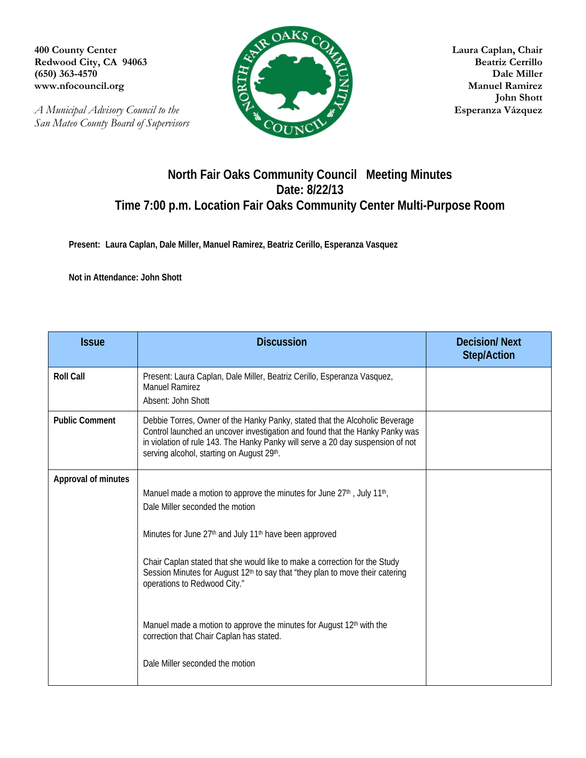**(650) 363-4570** 

*A Municipal Advisory Council to the* **Esperanza Vázquez** *San Mateo County Board of Supervisors* 



 **John Shott** 

## **North Fair Oaks Community Council Meeting Minutes Date: 8/22/13 Time 7:00 p.m. Location Fair Oaks Community Center Multi-Purpose Room**

**Present: Laura Caplan, Dale Miller, Manuel Ramirez, Beatriz Cerillo, Esperanza Vasquez** 

**Not in Attendance: John Shott** 

| <b>Issue</b>          | <b>Discussion</b>                                                                                                                                                                                                                                                                                                                                                                                                                                                                                                                                                          | <b>Decision/Next</b><br><b>Step/Action</b> |
|-----------------------|----------------------------------------------------------------------------------------------------------------------------------------------------------------------------------------------------------------------------------------------------------------------------------------------------------------------------------------------------------------------------------------------------------------------------------------------------------------------------------------------------------------------------------------------------------------------------|--------------------------------------------|
| <b>Roll Call</b>      | Present: Laura Caplan, Dale Miller, Beatriz Cerillo, Esperanza Vasquez,<br>Manuel Ramirez<br>Absent: John Shott                                                                                                                                                                                                                                                                                                                                                                                                                                                            |                                            |
| <b>Public Comment</b> | Debbie Torres, Owner of the Hanky Panky, stated that the Alcoholic Beverage<br>Control launched an uncover investigation and found that the Hanky Panky was<br>in violation of rule 143. The Hanky Panky will serve a 20 day suspension of not<br>serving alcohol, starting on August 29th.                                                                                                                                                                                                                                                                                |                                            |
| Approval of minutes   | Manuel made a motion to approve the minutes for June 27 <sup>th</sup> , July 11 <sup>th</sup> ,<br>Dale Miller seconded the motion<br>Minutes for June 27th and July 11th have been approved<br>Chair Caplan stated that she would like to make a correction for the Study<br>Session Minutes for August 12 <sup>th</sup> to say that "they plan to move their catering<br>operations to Redwood City."<br>Manuel made a motion to approve the minutes for August 12 <sup>th</sup> with the<br>correction that Chair Caplan has stated.<br>Dale Miller seconded the motion |                                            |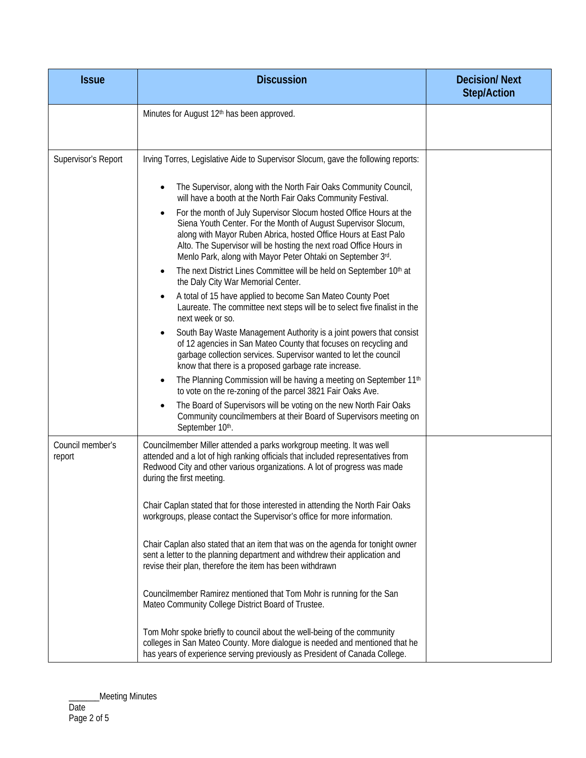| <b>Issue</b>               | <b>Discussion</b>                                                                                                                                                                                                                                                                                                                                                                                                                                                                                                                                                                                                                                                                                                                                                                                                                                                                                                                                                                                                                                                                                                                                                                                                                                                                                                                                                                                                                                                  | <b>Decision/Next</b><br><b>Step/Action</b> |
|----------------------------|--------------------------------------------------------------------------------------------------------------------------------------------------------------------------------------------------------------------------------------------------------------------------------------------------------------------------------------------------------------------------------------------------------------------------------------------------------------------------------------------------------------------------------------------------------------------------------------------------------------------------------------------------------------------------------------------------------------------------------------------------------------------------------------------------------------------------------------------------------------------------------------------------------------------------------------------------------------------------------------------------------------------------------------------------------------------------------------------------------------------------------------------------------------------------------------------------------------------------------------------------------------------------------------------------------------------------------------------------------------------------------------------------------------------------------------------------------------------|--------------------------------------------|
|                            | Minutes for August 12 <sup>th</sup> has been approved.                                                                                                                                                                                                                                                                                                                                                                                                                                                                                                                                                                                                                                                                                                                                                                                                                                                                                                                                                                                                                                                                                                                                                                                                                                                                                                                                                                                                             |                                            |
| Supervisor's Report        | Irving Torres, Legislative Aide to Supervisor Slocum, gave the following reports:<br>The Supervisor, along with the North Fair Oaks Community Council,<br>will have a booth at the North Fair Oaks Community Festival.<br>For the month of July Supervisor Slocum hosted Office Hours at the<br>Siena Youth Center. For the Month of August Supervisor Slocum,<br>along with Mayor Ruben Abrica, hosted Office Hours at East Palo<br>Alto. The Supervisor will be hosting the next road Office Hours in<br>Menlo Park, along with Mayor Peter Ohtaki on September 3rd.<br>The next District Lines Committee will be held on September 10th at<br>$\bullet$<br>the Daly City War Memorial Center.<br>A total of 15 have applied to become San Mateo County Poet<br>Laureate. The committee next steps will be to select five finalist in the<br>next week or so.<br>South Bay Waste Management Authority is a joint powers that consist<br>of 12 agencies in San Mateo County that focuses on recycling and<br>garbage collection services. Supervisor wanted to let the council<br>know that there is a proposed garbage rate increase.<br>The Planning Commission will be having a meeting on September 11 <sup>th</sup><br>$\bullet$<br>to vote on the re-zoning of the parcel 3821 Fair Oaks Ave.<br>The Board of Supervisors will be voting on the new North Fair Oaks<br>Community councilmembers at their Board of Supervisors meeting on<br>September 10th. |                                            |
| Council member's<br>report | Councilmember Miller attended a parks workgroup meeting. It was well<br>attended and a lot of high ranking officials that included representatives from<br>Redwood City and other various organizations. A lot of progress was made<br>during the first meeting.<br>Chair Caplan stated that for those interested in attending the North Fair Oaks<br>workgroups, please contact the Supervisor's office for more information.<br>Chair Caplan also stated that an item that was on the agenda for tonight owner<br>sent a letter to the planning department and withdrew their application and<br>revise their plan, therefore the item has been withdrawn<br>Councilmember Ramirez mentioned that Tom Mohr is running for the San<br>Mateo Community College District Board of Trustee.<br>Tom Mohr spoke briefly to council about the well-being of the community<br>colleges in San Mateo County. More dialogue is needed and mentioned that he<br>has years of experience serving previously as President of Canada College.                                                                                                                                                                                                                                                                                                                                                                                                                                  |                                            |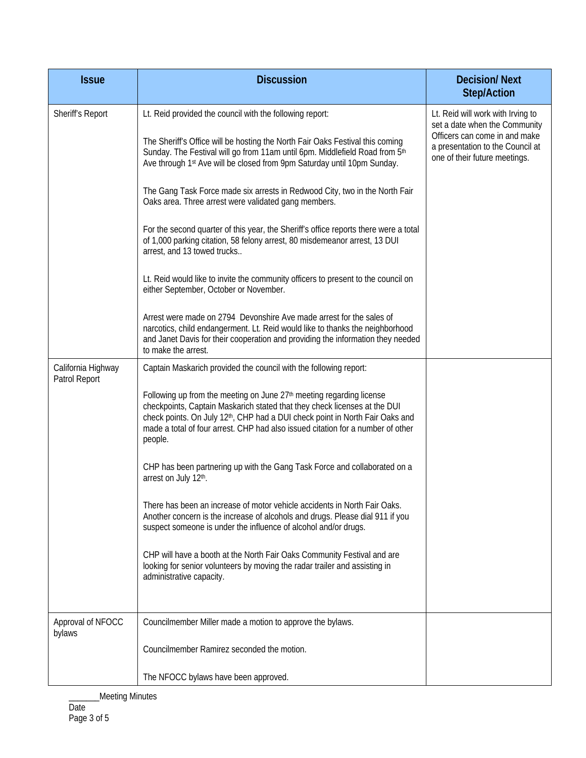| <b>Issue</b>                                                  | <b>Discussion</b>                                                                                                                                                                                                                                                                                                                                        | <b>Decision/Next</b><br><b>Step/Action</b>                                                                                                                               |
|---------------------------------------------------------------|----------------------------------------------------------------------------------------------------------------------------------------------------------------------------------------------------------------------------------------------------------------------------------------------------------------------------------------------------------|--------------------------------------------------------------------------------------------------------------------------------------------------------------------------|
| Sheriff's Report                                              | Lt. Reid provided the council with the following report:                                                                                                                                                                                                                                                                                                 | Lt. Reid will work with Irving to<br>set a date when the Community<br>Officers can come in and make<br>a presentation to the Council at<br>one of their future meetings. |
|                                                               | The Sheriff's Office will be hosting the North Fair Oaks Festival this coming<br>Sunday. The Festival will go from 11am until 6pm. Middlefield Road from 5th<br>Ave through 1st Ave will be closed from 9pm Saturday until 10pm Sunday.                                                                                                                  |                                                                                                                                                                          |
|                                                               | The Gang Task Force made six arrests in Redwood City, two in the North Fair<br>Oaks area. Three arrest were validated gang members.                                                                                                                                                                                                                      |                                                                                                                                                                          |
|                                                               | For the second quarter of this year, the Sheriff's office reports there were a total<br>of 1,000 parking citation, 58 felony arrest, 80 misdemeanor arrest, 13 DUI<br>arrest, and 13 towed trucks                                                                                                                                                        |                                                                                                                                                                          |
| either September, October or November.<br>to make the arrest. | Lt. Reid would like to invite the community officers to present to the council on                                                                                                                                                                                                                                                                        |                                                                                                                                                                          |
|                                                               | Arrest were made on 2794 Devonshire Ave made arrest for the sales of<br>narcotics, child endangerment. Lt. Reid would like to thanks the neighborhood<br>and Janet Davis for their cooperation and providing the information they needed                                                                                                                 |                                                                                                                                                                          |
| California Highway<br>Patrol Report                           | Captain Maskarich provided the council with the following report:                                                                                                                                                                                                                                                                                        |                                                                                                                                                                          |
|                                                               | Following up from the meeting on June 27 <sup>th</sup> meeting regarding license<br>checkpoints, Captain Maskarich stated that they check licenses at the DUI<br>check points. On July 12 <sup>th</sup> , CHP had a DUI check point in North Fair Oaks and<br>made a total of four arrest. CHP had also issued citation for a number of other<br>people. |                                                                                                                                                                          |
|                                                               | CHP has been partnering up with the Gang Task Force and collaborated on a<br>arrest on July 12th.                                                                                                                                                                                                                                                        |                                                                                                                                                                          |
|                                                               | There has been an increase of motor vehicle accidents in North Fair Oaks.<br>Another concern is the increase of alcohols and drugs. Please dial 911 if you<br>suspect someone is under the influence of alcohol and/or drugs.                                                                                                                            |                                                                                                                                                                          |
|                                                               | CHP will have a booth at the North Fair Oaks Community Festival and are<br>looking for senior volunteers by moving the radar trailer and assisting in<br>administrative capacity.                                                                                                                                                                        |                                                                                                                                                                          |
| Approval of NFOCC                                             | Councilmember Miller made a motion to approve the bylaws.                                                                                                                                                                                                                                                                                                |                                                                                                                                                                          |
| bylaws                                                        | Councilmember Ramirez seconded the motion.                                                                                                                                                                                                                                                                                                               |                                                                                                                                                                          |
|                                                               | The NFOCC bylaws have been approved.                                                                                                                                                                                                                                                                                                                     |                                                                                                                                                                          |

\_\_\_Meeting Minutes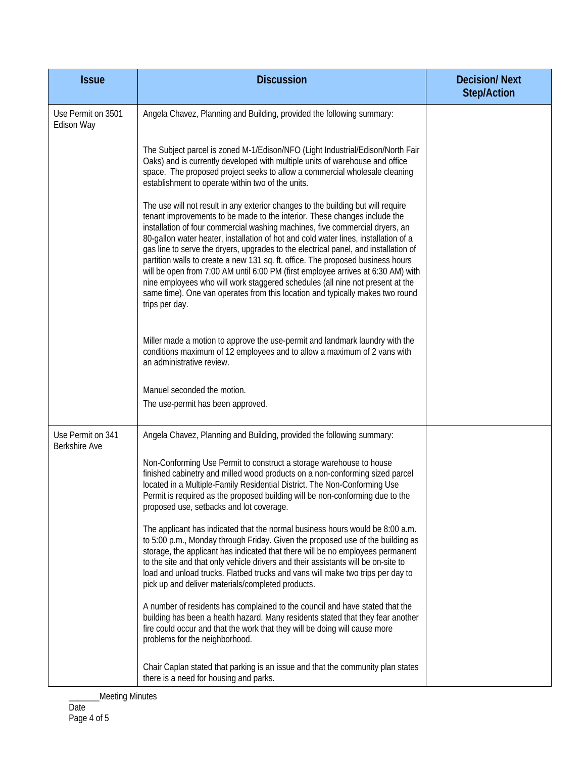| <b>Issue</b>                              | <b>Discussion</b>                                                                                                                                                                                                                                                                                                                                                                                                                                                                                                                                                                                                                                                                                                                                                                      | <b>Decision/Next</b><br><b>Step/Action</b> |
|-------------------------------------------|----------------------------------------------------------------------------------------------------------------------------------------------------------------------------------------------------------------------------------------------------------------------------------------------------------------------------------------------------------------------------------------------------------------------------------------------------------------------------------------------------------------------------------------------------------------------------------------------------------------------------------------------------------------------------------------------------------------------------------------------------------------------------------------|--------------------------------------------|
| Use Permit on 3501<br>Edison Way          | Angela Chavez, Planning and Building, provided the following summary:                                                                                                                                                                                                                                                                                                                                                                                                                                                                                                                                                                                                                                                                                                                  |                                            |
|                                           | The Subject parcel is zoned M-1/Edison/NFO (Light Industrial/Edison/North Fair<br>Oaks) and is currently developed with multiple units of warehouse and office<br>space. The proposed project seeks to allow a commercial wholesale cleaning<br>establishment to operate within two of the units.                                                                                                                                                                                                                                                                                                                                                                                                                                                                                      |                                            |
|                                           | The use will not result in any exterior changes to the building but will require<br>tenant improvements to be made to the interior. These changes include the<br>installation of four commercial washing machines, five commercial dryers, an<br>80-gallon water heater, installation of hot and cold water lines, installation of a<br>gas line to serve the dryers, upgrades to the electrical panel, and installation of<br>partition walls to create a new 131 sq. ft. office. The proposed business hours<br>will be open from 7:00 AM until 6:00 PM (first employee arrives at 6:30 AM) with<br>nine employees who will work staggered schedules (all nine not present at the<br>same time). One van operates from this location and typically makes two round<br>trips per day. |                                            |
|                                           | Miller made a motion to approve the use-permit and landmark laundry with the<br>conditions maximum of 12 employees and to allow a maximum of 2 vans with<br>an administrative review.                                                                                                                                                                                                                                                                                                                                                                                                                                                                                                                                                                                                  |                                            |
|                                           | Manuel seconded the motion.                                                                                                                                                                                                                                                                                                                                                                                                                                                                                                                                                                                                                                                                                                                                                            |                                            |
|                                           | The use-permit has been approved.                                                                                                                                                                                                                                                                                                                                                                                                                                                                                                                                                                                                                                                                                                                                                      |                                            |
| Use Permit on 341<br><b>Berkshire Ave</b> | Angela Chavez, Planning and Building, provided the following summary:                                                                                                                                                                                                                                                                                                                                                                                                                                                                                                                                                                                                                                                                                                                  |                                            |
|                                           | Non-Conforming Use Permit to construct a storage warehouse to house<br>finished cabinetry and milled wood products on a non-conforming sized parcel<br>located in a Multiple-Family Residential District. The Non-Conforming Use<br>Permit is required as the proposed building will be non-conforming due to the<br>proposed use, setbacks and lot coverage.                                                                                                                                                                                                                                                                                                                                                                                                                          |                                            |
|                                           | The applicant has indicated that the normal business hours would be 8:00 a.m.<br>to 5:00 p.m., Monday through Friday. Given the proposed use of the building as<br>storage, the applicant has indicated that there will be no employees permanent<br>to the site and that only vehicle drivers and their assistants will be on-site to<br>load and unload trucks. Flatbed trucks and vans will make two trips per day to<br>pick up and deliver materials/completed products.                                                                                                                                                                                                                                                                                                          |                                            |
|                                           | A number of residents has complained to the council and have stated that the<br>building has been a health hazard. Many residents stated that they fear another<br>fire could occur and that the work that they will be doing will cause more<br>problems for the neighborhood.                                                                                                                                                                                                                                                                                                                                                                                                                                                                                                        |                                            |
|                                           | Chair Caplan stated that parking is an issue and that the community plan states<br>there is a need for housing and parks.                                                                                                                                                                                                                                                                                                                                                                                                                                                                                                                                                                                                                                                              |                                            |